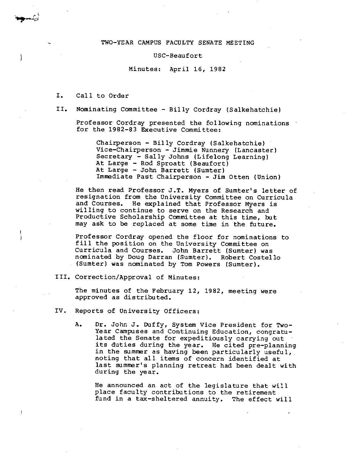#### TWO-YEAR CAMPUS FACULTY SENATE MEETING

#### USC-Beaufort

Minutes: April 16, 1982

- I. Call to Order
- II. Nominating Committee Billy Cordray (Salkehatchie)

Professor Cordray presented the following nominations for the 1982-83 Executive Committee:

Chairperson - Billy Cordray (Salkehatchie) Vice-Chairperson - Jimmie Nunnery (Lancaster) Secretary - Sally Johns (Lifelong Learning) At Large - Rod Sproatt (Beaufort) At Large - John Barrett (Sumter) Immediate Past Chairperson - Jim Otten (Union)

He then read Professor J.T. Myers of Sumter's letter of resignation from the University Committee on Curricula and Courses. He explained that Professor Myers is willing to continue to serve on the Research and Productive Scholarship Committee at this time, but may ask to be replaced at some time in the future.

Professor Cordray opened the floor for nominations to fill the position on the University Committee on Curricula and Courses. John Barrett (Sumter) was nominated by Doug Darran (Sumter). Robert Costello (Sumter) was nominated by Tom Powers (Sumter).

III. Correction/Approval of Minutes:

The minutes of the February 12, 1982, meeting were approved as distributed.

- IV. Reports of University Officers:
	- A. Dr. John J. Duffy, System Vice President for Two-Year Campuses and Continuing Education, congratulated the Senate for expeditiously carrying out its duties during the year. He cited pre-planning in the summer as having been particularly useful, noting that all items of concern identified at last summer's planning retreat had been dealt with during the year.

He announced an act of the legislature that will place faculty contributions to the retirement fund in a tax-sheltered annuity. The effect will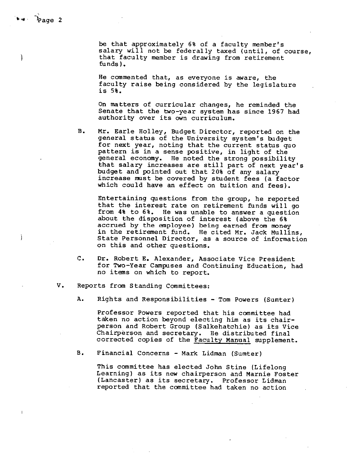ì

 $\mathbf{I}$ 

be that approximately 6% of a faculty member's salary will not be federally taxed (until, of course, that faculty member is drawing from retirement funds).

He commented that, as everyone is aware, the faculty raise being considered by the legislature is 5%.

On matters of curricular changes, he reminded the Senate that the two-year system has since 1967 had authority over its own curriculum.

B. Mr. Earle Holley, Budget Director, reported on the general status of the University system's budget for next year, noting that the current status quo pattern is in a sense positive, in light of the general economy. He noted the strong possibility that salary increases are still part of next year's budget and pointed out that 20% of any salary increase must be covered by student fees (a factor which could have an effect on tuition and fees).

Entertaining questions from the group, he reported that the interest rate on retirement funds will go from 4% to 6%. He was unable to answer a question about the disposition of interest (above the 6% accrued by the employee) being earned from money in the retirement fund. He cited Mr. Jack Mullins, State Personnel Director, as a source of information on this and other questions.

- c. Dr. Robert E. Alexander, Associate Vice President for Two-Year Campuses and Continuing Education, had no items on which to report.
- V. Reports from Standing Committees:
	- A. Rights and Responsibilities Tom Powers (Sumter)

Professor Powers reported that his committee had taken no action beyond electing him as its chairperson and Robert Group (Salkehatchie) as its Vice Chairperson and secretary. He distributed final corrected copies of the Faculty Manual supplement.

B. Financial Concerns - Mark Lidman (Sumter)

This committee has elected John Stine (Lifelong Learning) as its new chairperson and Marnie Foster (Lancaster) as its secretary. Professor Lidman reported that the committee had taken no action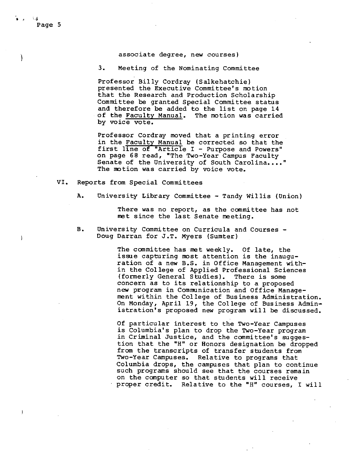#### associate degree, new courses)

3. Meeting of the Nominating Committee

Professor Billy Cordray (Salkehatchie) presented the Executive Committee's motion that the Research and Production Scholarship Committee be granted Special Committee status and therefore be added to the list on page 14 of the Faculty Manual. The motion was carried by voice vote.

Professor Cordray moved that a printing error in the Faculty Manual be corrected so that the first line of "Article I - Purpose and Powers" on page 68 read, "The Two-Year Campus Faculty Senate of the University of South Carolina...." The motion was carried by voice vote.

- VI. Reports from Special Committees
	- A. University Library Committee Tandy Willis (Union)

There was no report, as the committee has not met since the last Senate meeting.

B. University Committee on Curricula and Courses - Doug Darran for J.T. Myers (Sumter)

> The committee has met weekly. Of late, the issue capturing most attention is the inauguration of a new B.S. in Office Management within the College of Applied Professional Sciences (formerly General Studies). There is some concern as to its relationship to a proposed new program in Communication and Office Management within the College of Business Administration. On Monday, April 19, the College of Business Administration's proposed new program will be discussed.

> Of particular interest to the Two-Year Campuses is Columbia's plan to drop the Two-Year program in Criminal Justice, and the committee's suggestion that the "H" or Honors designation be dropped from the transcripts of transfer students from Two-Year Campuses. Relative to programs that Columbia drops, the campuses that plan to continue such programs should see that the courses remain on the computer so that students will receive proper credit. Relative to the "H" courses, I will

ļ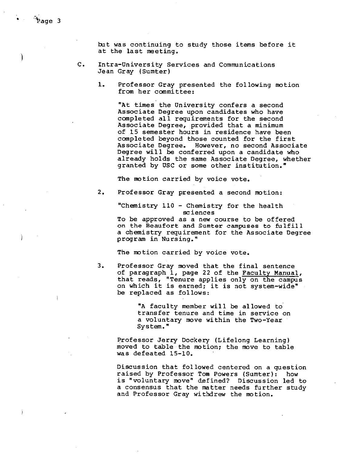but was continuing to study those items before it at the last meeting.

- C. Intra-University Services and Communications Jean Gray (Sumter)
	- 1. Professor Gray presented the following motion from her committee:

"At times the University confers a second Associate Degree upon candidates who have completed all requirements for the second Associate Degree, provided that a minimum of 15 semester hours in residence have been completed beyond those counted for the first Associate Degree. However, no second Associate Degree will be conferred upon a candidate who already holds the same Associate Degree, whether granted by USC or some other institution."

The motion carried by voice vote.

2. Professor Gray presented a second motion:

"Chemistry 110 - Chemistry for the health sciences

To be approved as a new course to be offered on the Beaufort and Sumter campuses to fulfill a chemistry requirement for the Associate Degree program in Nursing."

The motion carried by voice vote.

3. Professor Gray moved that the final sentence of paragraph 1, page 22 of the Faculty Manual, that reads, "Tenure applies only on the campus on which it is earned; it is not system-wide" be replaced as follows:

> "A faculty member will be allowed to transfer tenure and time in service on a voluntary move within the Two-Year System."

Professor Jerry Dockery (Lifelong Learning) moved to table the motion; the move to table was defeated 15-10.

Discussion that followed centered on a question raised by Professor Tom Powers (Sumter): how is "voluntary move" defined? Discussion led to a consensus that the matter needs further study and Professor Gray withdrew the motion.

÷

 $\mathbf{)}$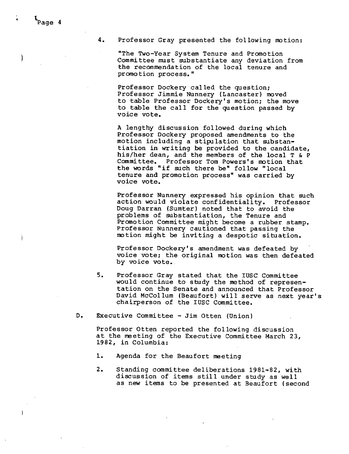# **4.** Professor Gray presented the following motion:

"The Two-Year System Tenure and Promotion Committee must substantiate any deviation from the recommendation of the local tenure and promotion process."

Professor Dockery cal led. the question; Professor Jimmie Nunnery (Lancaster) moved to table Professor Dockery's motion; the move to table the call for the question passed by voice *vote.* 

A lengthy discussion followed during which Professor Dockery proposed amendments to the motion including a stipulation that substantiation in writing be provided to the candidate, his/her dean, and the members of the local T & P Committee. Professor Tom Powers's motion that the words "if such there be" follow "local tenure and promotion process" was carried by voice *vote.* 

Professor Nunnery expressed his opinion that such action would violate confidentiality. Professor Doug Darran (Sumter) noted that to avoid the problems of substantiation, the Tenure and Promotion Committee might become a rubber stamp. Professor Nunnery cautioned that passing the motion might be inviting a despotic situation.

Professor Dockery's amendment was defeated by voice vote; the original motion was then defeated by voice vote.

- 5. Professor Gray stated that the IUSC Committee would continue to study the method of representation on the Senate and announced that Professor David Mccollum (Beaufort) will serve as next year's chairperson of the IUSC Committee.
- D. Executive Committee Jim Otten (Union)

Professor Otten reported the following discussion at the meeting of the Executive Committee March 23, 1982, in Columbia:

- 1. Agenda for the Beaufort meeting
- 2. Standing committee deliberations 1981-82, with discussion of items still under study as well as new items to be presented at Beaufort (second

)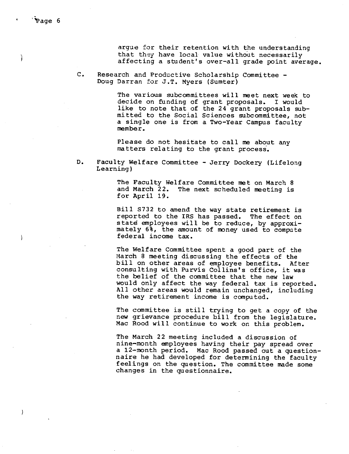J

 $\overline{\phantom{a}}$ 

argue for their retention with the understanding that they have local value without necessarily affecting a student's over-all grade point average.

c. Research and Productive Scholarship Committee - Doug Darran for J.T. Myers (Sumter)

> The various subcommittees will meet next week to decide on funding of grant proposals. I would like to note that of the 24 grant proposals submitted to the Social Sciences subcommittee, not a single one is from a Two-Year Campus faculty member.

Please do not hesitate to call me about any matters relating to the grant process·.

D. Faculty Welfare Committee - Jerry Dockery (Lifelong Learning)

> The Faculty Welfare Committee met on March 8<br>and March 22. The next scheduled meeting is The next scheduled meeting is for April 19.

Bill S732 to amend the way state retirement is reported to the IRS has passed. The effect on state employees will be to reduce, by approximately 6%, the amount of money used to compute federal income tax.

The Welfare Committee spent a good part of the March 8 meeting discussing the effects of the bill on other areas of employee benefits. After consulting with Purvis Collins's office, it was the belief of the committee that the new law would only affect the way federal tax is reported. All other areas would remain unchanged, including the way retirement income is computed.

The committee is still trying to get a copy of the new grievance procedure bill from the legislature. Mac Rood will continue to work on this problem.

The March 22 meeting included a discussion of nine-month employees having their pay spread over a 12-month period. Mac Rood passed out a questionnaire he had developed for determining the faculty feelings on the question. The committee made some changes in the questionnaire.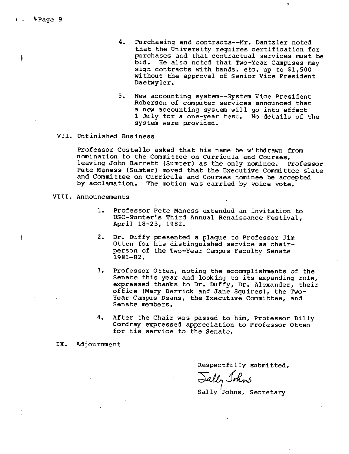$V$  Page 9

- 4. Purchasing and contracts--Mr. Dantzler noted that the University requires certification for purchases and that contractual services must be bid. He also noted that Two-Year Campuses may sign contracts with bands, etc. up to \$1,500 without the approval of Senior Vice President Daetwyler.
- 5. **New** accounting system--System Vice President Roberson of computer services announced that a new accounting system will go into effect 1 July for a one-year test. No details of the system were provided.

# VII. Unfinished Business

Professor Costello asked that his name be withdrawn from nomination to the Committee on Curricula and Courses, leaving John Barrett (Sumter) as the only nominee. Professor Pete Maness (Sumter) moved that the Executive Committee slate and Committee on Curricula and Courses nominee be accepted by acclamation. The motion was carried by voice vote.

- VIII. Announcements
	- 1. Professor Pete Maness extended an invitation to USC-Sumter's Third Annual Renaissance Festival, April 18-23, 1982.
	- 2. Dr. Duffy presented a plaque to Professor Jim Otten for his distinguished service as chairperson of the Two-Year Campus Faculty Senate 1981-82.
	- 3. Professor Otten, noting the accomplishments of the Senate this year and looking to its expanding role, expressed thanks to Dr. Duffy, Dr. Alexander, their office (Mary Derrick and Jane Squires), the Two-Year Campus Deans, the Executive Committee, and Senate members.
	- **4.** After the Chair was passed to him, Professor Billy Cordray expressed appreciation to Professor Otten for his service to the Senate.
	- IX. Adjournment

 $\mathbf{I}$ 

Respectfully submitted,

Jally Johns

Sally Johns, Secretary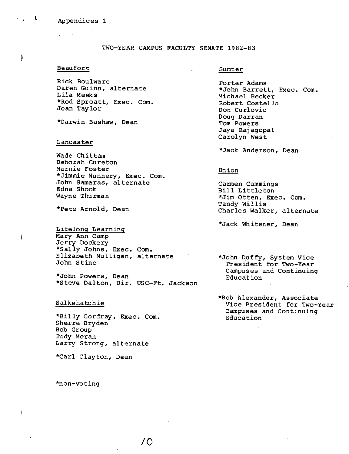#### Appendices 1

 $\mathbf{r}$ 

)

 $\mathcal{E}$ 

TWO-YEAR CAMPUS FACULTY SENATE 1982-83

### Beaufort

Rick Boulware Daren Guinn, alternate Lila Meeks \*Rod Sproatt, Exec. Com. Joan Taylor

\*Darwin Bashaw, Dean

### Lancaster

Wade Chittam Deborah Cureton Marnie Foster \*Jimmie Nunnery, Exec. Com. John Samaras, alternate Edna Shook Wayne Thurman

\*Pete Arnold, Dean

Lifelong Learning Mary Ann Camp Jerry Dockery \*Sally Johns, Exec. Com. Elizabeth Mulligan, alternate John Stine

\*John Powers, Dean \*Steve Dalton, Dir. USC-Ft. Jackson

/0

### Salkehatchie

\*Billy Cordray, Exec. Com. Sherre Dryden Bob Group Judy Moran Larry Strong, alternate

\*Carl Clayton, Dean

\*non-voting

#### Sumter

Porter Adams \*John Barrett, Exec. Com. Michael Becker Robert Costello Don Curlovic Doug Darran Tom Powers Jaya Rajagopal Carolyn West

\*Jack Anderson, Dean

# Union

Carmen Cummings Bill Littleton \*Jim Otten, Exec. Com. Tandy Willis Charles Walker, alternate

\*Jack Whitener, Dean

\*John Duffy, System Vice President for Two-Year Campuses and Continuing Education

\*Bob Alexander, Associate Vice President for Two-Year Campuses and Continuing Education